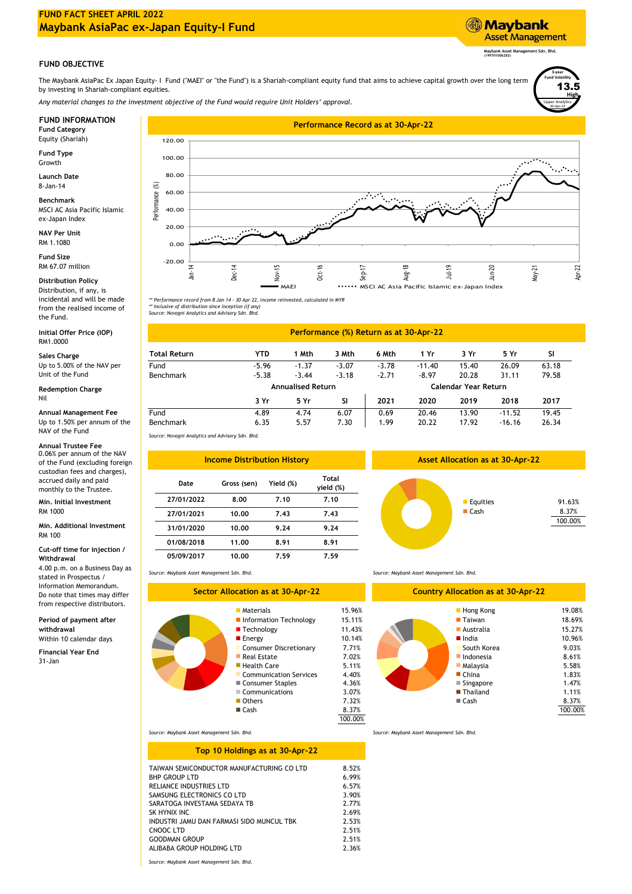# **FUND FACT SHEET APRIL 2022 Maybank AsiaPac ex-Japan Equity-I Fund**



The Maybank AsiaPac Ex Japan Equity- I Fund ("MAEI" or "the Fund") is a Shariah-compliant equity fund that aims to achieve capital growth over the long term by investing in Shariah-compliant equities.

*Any material changes to the investment objective of the Fund would require Unit Holders' approval.*

Equity (Shariah)

**Fund Type** Growth

**Launch Date** 8-Jan-14

MSCI AC Asia Pacific Islamic ex-Japan Index **Benchmark**

**NAV Per Unit** RM 1.1080

**Fund Size** RM 67.07 million

# **Distribution Policy**

Distribution, if any, is incidental and will be made from the realised income of the Fund.

**Initial Offer Price (IOP)** RM1.0000

### **Redemption Charge** Nil

### Up to 1.50% per annum of the NAV of the Fund

# **Annual Trustee Fee**

0.06% per annum of the NAV of the Fund (excluding foreign custodian fees and charges), accrued daily and paid monthly to the Trustee.

**Min. Initial Investment** RM 1000

## RM 100 **Min. Additional Investment**

**Cut-off time for injection / Withdrawal**

4.00 p.m. on a Business Day as stated in Prospectus / Information Memorandum. Do note that times may differ from respective distributors.

**Period of payment after withdrawal**

**Financial Year End** Within 10 calendar days

31-Jan



\*\* Performance record from 8 Jan 14 - 30 Apr 22, income reinvested, calculated in MYR<br>\*\* Inclusive of distribution since inception (if any)<br>Source: Novagni Analytics and Advisory Sdn. Bhd.

# **Performance (%) Return as at 30-Apr-22**

| RM1.0000                                 |                  |                          |         |         |                             |          |       |          |       |  |
|------------------------------------------|------------------|--------------------------|---------|---------|-----------------------------|----------|-------|----------|-------|--|
| Sales Charge                             | Total Return     | YTD                      | ∣ Mth   | 3 Mth   | 6 Mth                       | 1 Yr     | 3 Yr  | 5 Yr     | SI.   |  |
| Up to 5.00% of the NAV per               | Fund             | $-5.96$                  | $-1.37$ | $-3.07$ | $-3.78$                     | $-11.40$ | 15.40 | 26.09    | 63.18 |  |
| Unit of the Fund                         | <b>Benchmark</b> | $-5.38$                  | $-3.44$ | $-3.18$ | $-2.71$                     | $-8.97$  | 20.28 | 31.11    | 79.58 |  |
| Redemption Charge                        |                  | <b>Annualised Return</b> |         |         | <b>Calendar Year Return</b> |          |       |          |       |  |
|                                          |                  | 3 Yr                     | 5 Yr    | SI      | 2021                        | 2020     | 2019  | 2018     | 2017  |  |
| Annual Management Fee                    | Fund             | 4.89                     | 4.74    | 6.07    | 0.69                        | 20.46    | 13.90 | $-11.52$ | 19.45 |  |
| Up to 1.50% per annum of the<br>$\cdots$ | <b>Benchmark</b> | 6.35                     | 5.57    | 7.30    | 1.99                        | 20.22    | 17.92 | $-16.16$ | 26.34 |  |

*Source: Novagni Analytics and Advisory Sdn. Bhd.*

| <b>Income Distribution History</b> |             |           |                    |  |  |  |
|------------------------------------|-------------|-----------|--------------------|--|--|--|
| Date                               | Gross (sen) | Yield (%) | Total<br>yield (%) |  |  |  |
| 27/01/2022                         | 8.00        | 7.10      | 7.10               |  |  |  |
| 27/01/2021                         | 10.00       | 7.43      | 7.43               |  |  |  |
| 31/01/2020                         | 10.00       | 9.24      | 9.24               |  |  |  |
| 01/08/2018                         | 11.00       | 8.91      | 8.91               |  |  |  |
| 05/09/2017                         | 10.00       | 7.59      | 7.59               |  |  |  |



**Asset Allocation as at 30-Apr-22**

*Source: Maybank Asset Management Sdn. Bhd.*

# **Sector Allocation as at 30-Apr-22**

| <b>Materials</b>              | 15.96%  |  |
|-------------------------------|---------|--|
| Information Technology        | 15.11%  |  |
| $\blacksquare$ Technology     | 11.43%  |  |
| <b>E</b> Energy               | 10.14%  |  |
| <b>Consumer Discretionary</b> | 7.71%   |  |
| $\blacksquare$ Real Estate    | 7.02%   |  |
| ■ Health Care                 | 5.11%   |  |
| <b>Communication Services</b> | 4.40%   |  |
| ■ Consumer Staples            | 4.36%   |  |
| Communications                | 3.07%   |  |
| Others                        | 7.32%   |  |
| $\blacksquare$ Cash           | 8.37%   |  |
|                               | 100.00% |  |

*Source: Maybank Asset Management Sdn. Bhd.*

■ Singapore 1.47% 8.37% Communications 3.07% 3.07% **Thailand** 1.11% Information Technology 15.11% Taiwan Australia 4.40% 1.83% ■ China 1.83% 5.58% 9.03% 8.61% ■ China Malaysia 19.08% 100.00% 18.69% 15.27% **Country Allocation as at 30-Apr-22** South Korea 10.96% ■ India **Hong Kong Indonesia** ■ Cash **Thailand** 

*Source: Maybank Asset Management Sdn. Bhd.*

## **Top 10 Holdings as at 30-Apr-22**

| TAIWAN SEMICONDUCTOR MANUFACTURING CO LTD<br><b>BHP GROUP LTD</b> | 8.52%<br>6.99% |
|-------------------------------------------------------------------|----------------|
| RELIANCE INDUSTRIES LTD                                           | 6.57%          |
| SAMSUNG ELECTRONICS CO LTD                                        | 3.90%          |
| SARATOGA INVESTAMA SEDAYA TB                                      | 2.77%          |
| SK HYNIX INC                                                      | 2.69%          |
| INDUSTRI JAMU DAN FARMASI SIDO MUNCUL TBK                         | 2.53%          |
| CNOOC LTD                                                         | 2.51%          |
| GOODMAN GROUP                                                     | 2.51%          |
| ALIBABA GROUP HOLDING LTD                                         | 2.36%          |
|                                                                   |                |

*Source: Maybank Asset Management Sdn. Bhd.*

*Source: Maybank Asset Management Sdn. Bhd.*

8.37% 100.00%

Lipper Analytics

30-Apr-22

**High** 13.5

**3-year Fund Volatility**

**Maybank Asset Management Sdn. Bhd. (199701006283)**

**Asset Management** 

**Maybank**